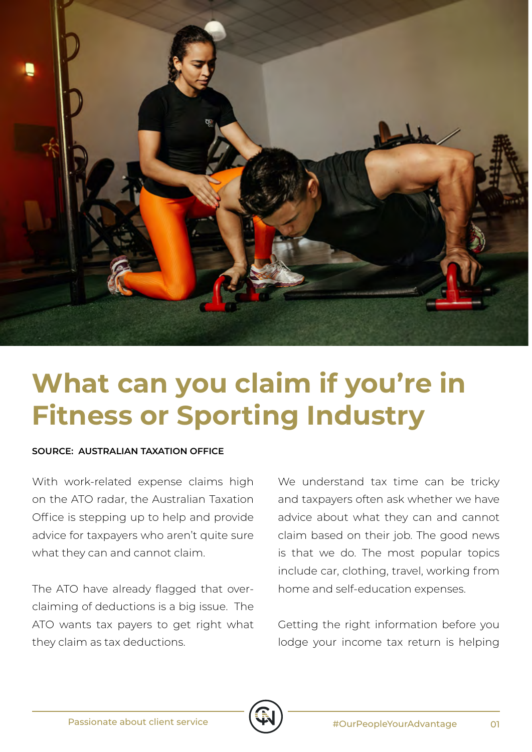

## **What can you claim if you're in Fitness or Sporting Industry**

## **SOURCE: AUSTRALIAN TAXATION OFFICE**

With work-related expense claims high on the ATO radar, the Australian Taxation Office is stepping up to help and provide advice for taxpayers who aren't quite sure what they can and cannot claim.

The ATO have already flagged that overclaiming of deductions is a big issue. The ATO wants tax payers to get right what they claim as tax deductions.

We understand tax time can be tricky and taxpayers often ask whether we have advice about what they can and cannot claim based on their job. The good news is that we do. The most popular topics include car, clothing, travel, working from home and self-education expenses.

Getting the right information before you lodge your income tax return is helping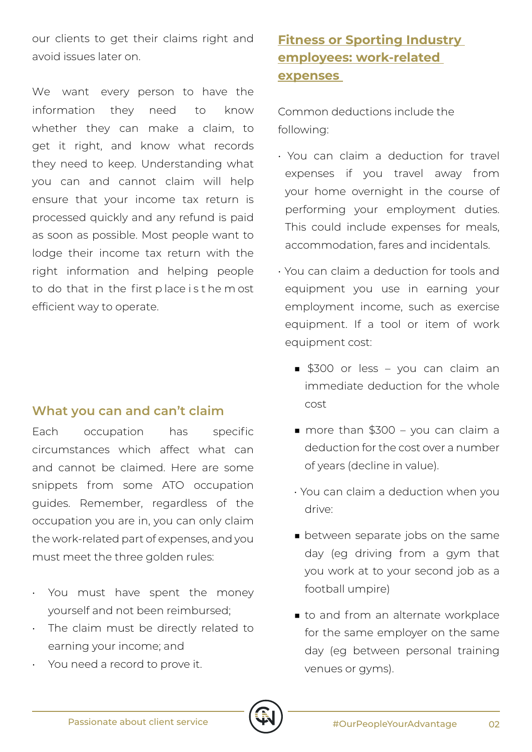our clients to get their claims right and avoid issues later on.

We want every person to have the information they need to know whether they can make a claim, to get it right, and know what records they need to keep. Understanding what you can and cannot claim will help ensure that your income tax return is processed quickly and any refund is paid as soon as possible. Most people want to lodge their income tax return with the right information and helping people to do that in the first p lace i s t he m ost efficient way to operate.

## **What you can and can't claim**

Each occupation has specific circumstances which affect what can and cannot be claimed. Here are some snippets from some ATO occupation guides. Remember, regardless of the occupation you are in, you can only claim the work-related part of expenses, and you must meet the three golden rules:

- You must have spent the money yourself and not been reimbursed;
- The claim must be directly related to earning your income; and
- You need a record to prove it.

## **Fitness or Sporting Industry employees: work-related expenses**

Common deductions include the following:

- You can claim a deduction for travel expenses if you travel away from your home overnight in the course of performing your employment duties. This could include expenses for meals, accommodation, fares and incidentals.
- You can claim a deduction for tools and equipment you use in earning your employment income, such as exercise equipment. If a tool or item of work equipment cost:
	- \$300 or less you can claim an immediate deduction for the whole cost
	- more than \$300 you can claim a deduction for the cost over a number of years (decline in value).
	- You can claim a deduction when you drive:
	- between separate jobs on the same day (eg driving from a gym that you work at to your second job as a football umpire)
	- to and from an alternate workplace for the same employer on the same day (eg between personal training venues or gyms).